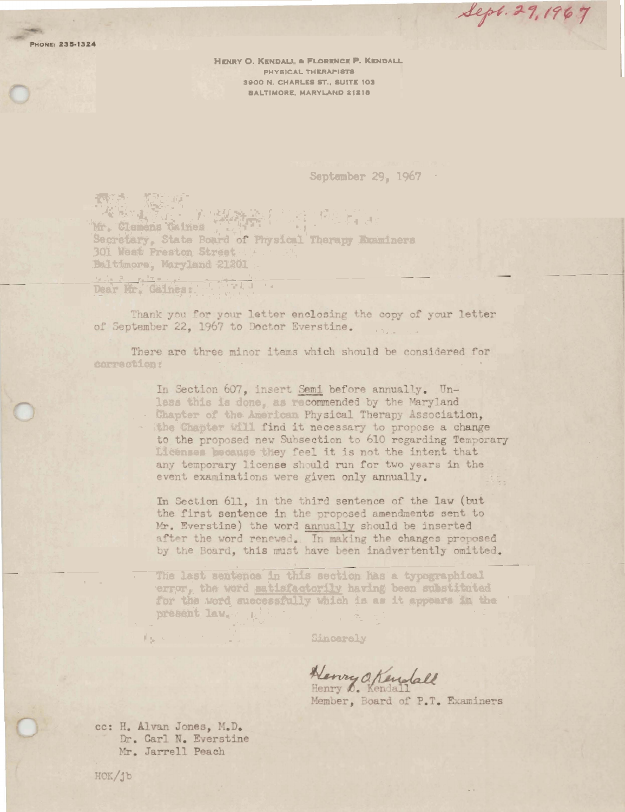**PHONE: 235-1324** 

HENRY O. KENDALL & FLORENCE P. KENDALL PHYSICAL THERAPISTS 3900 N. CHARLES ST., SUITE 103 **BALTIMORE, MARYLAND 21218** 

**September 29, 1967** 

Sept. 29, 1967

The Real Property of the Party Secretary, State Board of Physical Therapy Knaminers 301 West Preston Street Baltimore, Maryland 21201

Dear Mr. Gaines:

Thank you for your letter enclosing the copy of your letter of September 22, 1967 to Doctor Everstine.

There are three minor items which should be considered for correction:

> In Section 607, insert Semi before annually. Unless this is done, as recommended by the Maryland Chapter of the American Physical Therapy Association, the Chapter Will find it necessary to propose a change to the proposed new Subsection to 610 regarding Temporary Licenses because they feel it is not the intent that any temporary license should run for two years in the event examinations were given only annually.

In Section 611, in the third sentence of the law (but the first sentence in the proposed amendments sent to Mr. Everstine) the word annually should be inserted after the word renewed. In making the changes proposed by the Board, this must have been inadvertently omitted.

The last sentence in this section has a typographical error, the word satisfactorily having been substituted for the word successfully which is as it appears in the present law.

Sincerely

Henry O. Kendall

Member, Board of P.T. Examiners

cc: H. Alvan Jones, M.D. Dr. Carl N. Everstine Mr. Jarrell Peach

fagor.

HOK/jb